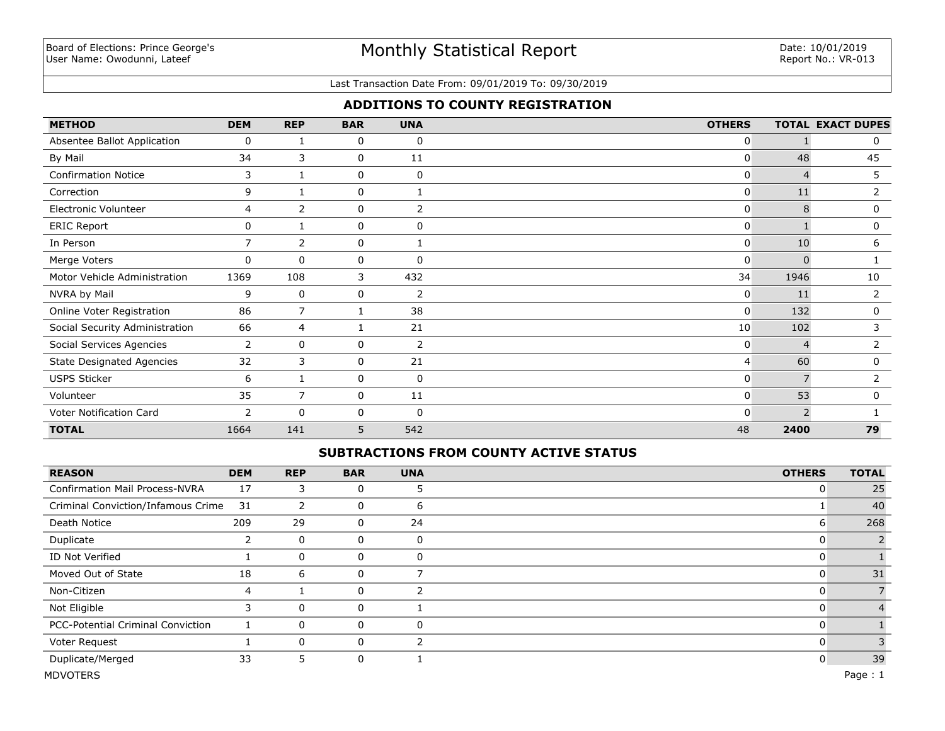### Last Transaction Date From: 09/01/2019 To: 09/30/2019

## **ADDITIONS TO COUNTY REGISTRATION**

| <b>METHOD</b>                    | <b>DEM</b>     | <b>REP</b>     | <b>BAR</b> | <b>UNA</b>     | <b>OTHERS</b> |               | <b>TOTAL EXACT DUPES</b> |
|----------------------------------|----------------|----------------|------------|----------------|---------------|---------------|--------------------------|
| Absentee Ballot Application      | 0              |                | 0          | 0              | 0             |               | 0                        |
| By Mail                          | 34             | 3              | 0          | 11             | 0             | 48            | 45                       |
| <b>Confirmation Notice</b>       | 3              |                | 0          | 0              | 0             | 4             | 5                        |
| Correction                       | 9              |                | 0          |                | $\mathbf{0}$  | 11            | 2                        |
| Electronic Volunteer             | 4              | $\overline{2}$ | 0          | 2              | 0             | 8             | 0                        |
| <b>ERIC Report</b>               | 0              |                | 0          | 0              | $\Omega$      |               | 0                        |
| In Person                        | $\overline{7}$ | $\overline{2}$ | 0          |                | 0             | 10            | 6                        |
| Merge Voters                     | $\mathbf 0$    | $\Omega$       | 0          | 0              | $\Omega$      | n             |                          |
| Motor Vehicle Administration     | 1369           | 108            | 3          | 432            | 34            | 1946          | 10                       |
| NVRA by Mail                     | 9              | 0              | 0          | $\overline{2}$ | 0             | 11            | $\overline{2}$           |
| Online Voter Registration        | 86             | $\overline{7}$ | 1          | 38             | 0             | 132           | 0                        |
| Social Security Administration   | 66             | 4              |            | 21             | 10            | 102           | 3                        |
| Social Services Agencies         | 2              | 0              | 0          | $\overline{2}$ | 0             |               |                          |
| <b>State Designated Agencies</b> | 32             | 3              | 0          | 21             | 4             | 60            | 0                        |
| <b>USPS Sticker</b>              | 6              |                | 0          | 0              | 0             | 7             | $\overline{2}$           |
| Volunteer                        | 35             | 7              | 0          | 11             | 0             | 53            | $\mathbf{0}$             |
| Voter Notification Card          | 2              | $\Omega$       | $\Omega$   | $\Omega$       | <sup>0</sup>  | $\mathcal{P}$ |                          |
| <b>TOTAL</b>                     | 1664           | 141            | 5          | 542            | 48            | 2400          | 79                       |

### **SUBTRACTIONS FROM COUNTY ACTIVE STATUS**

| <b>REASON</b>                            | <b>DEM</b> | <b>REP</b> | <b>BAR</b>  | <b>UNA</b> | <b>OTHERS</b> | <b>TOTAL</b> |
|------------------------------------------|------------|------------|-------------|------------|---------------|--------------|
| <b>Confirmation Mail Process-NVRA</b>    | 17         | 3          | 0           | 5          | υ             | 25           |
| Criminal Conviction/Infamous Crime       | 31         | 2          | 0           | 6          |               | 40           |
| Death Notice                             | 209        | 29         | 0           | 24         | 6             | 268          |
| Duplicate                                | 2          | 0          | $\mathbf 0$ | 0          | U             |              |
| ID Not Verified                          |            | 0          | 0           | 0          |               |              |
| Moved Out of State                       | 18         | 6          | 0           |            | υ             | 31           |
| Non-Citizen                              | 4          |            | 0           |            | U             |              |
| Not Eligible                             | 3          | 0          | 0           |            | u             |              |
| <b>PCC-Potential Criminal Conviction</b> |            | 0          | 0           | 0          | u             |              |
| Voter Request                            |            | $\Omega$   | 0           |            | υ             |              |
| Duplicate/Merged                         | 33         | 5.         | 0           |            | 0             | 39           |
| <b>MDVOTERS</b>                          |            |            |             |            |               | Page: $1$    |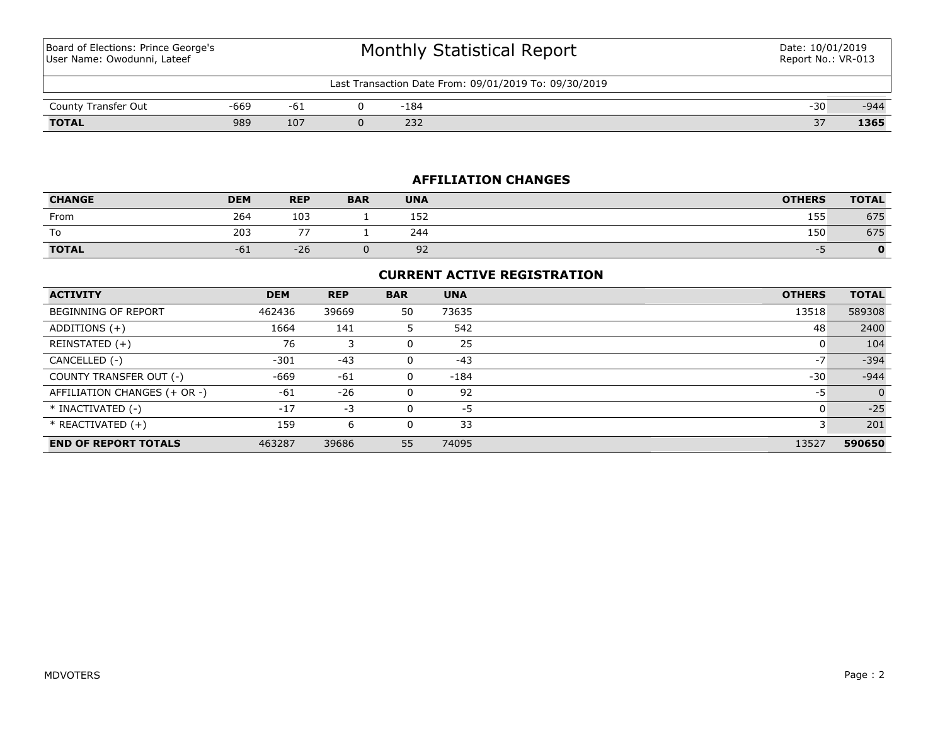Board of Elections: Prince George's User Name: Owodunni, Lateef

| Last Transaction Date From: 09/01/2019 To: 09/30/2019 |      |     |  |            |                       |        |  |  |
|-------------------------------------------------------|------|-----|--|------------|-----------------------|--------|--|--|
| County Transfer Out                                   | -669 | ◡∸  |  | 184        | $\sim$<br>$-11$<br>JU | $-944$ |  |  |
| <b>TOTAL</b>                                          | 989  | 107 |  | רכר<br>ےرے | $\sim$ $-$<br>، ب     | 1365   |  |  |

## **AFFILIATION CHANGES**

| <b>CHANGE</b> | <b>DEM</b> | <b>REP</b> | <b>BAR</b> | <b>UNA</b> | <b>OTHERS</b> | <b>TOTAL</b> |
|---------------|------------|------------|------------|------------|---------------|--------------|
| From          | 264        | 103        |            | 152        | 155           | 675          |
| To            | 203        | --         |            | 244        | 150           | 675          |
| <b>TOTAL</b>  | $-61$      | $-26$      |            | 92         | --            |              |

## **CURRENT ACTIVE REGISTRATION**

| <b>ACTIVITY</b>              | <b>DEM</b> | <b>REP</b> | <b>BAR</b> | <b>UNA</b> | <b>OTHERS</b> | <b>TOTAL</b> |
|------------------------------|------------|------------|------------|------------|---------------|--------------|
| <b>BEGINNING OF REPORT</b>   | 462436     | 39669      | 50         | 73635      | 13518         | 589308       |
| ADDITIONS $(+)$              | 1664       | 141        | Ь          | 542        | 48            | 2400         |
| REINSTATED (+)               | 76         |            |            | 25         | υ             | 104          |
| CANCELLED (-)                | $-301$     | $-43$      | 0          | $-43$      | $-7$          | $-394$       |
| COUNTY TRANSFER OUT (-)      | -669       | $-61$      | 0          | $-184$     | $-30$         | $-944$       |
| AFFILIATION CHANGES (+ OR -) | $-61$      | $-26$      |            | 92         | -5            | $\Omega$     |
| * INACTIVATED (-)            | $-17$      | -3         |            | -5         | υ             | $-25$        |
| $*$ REACTIVATED $(+)$        | 159        | 6          |            | 33         |               | 201          |
| <b>END OF REPORT TOTALS</b>  | 463287     | 39686      | 55         | 74095      | 13527         | 590650       |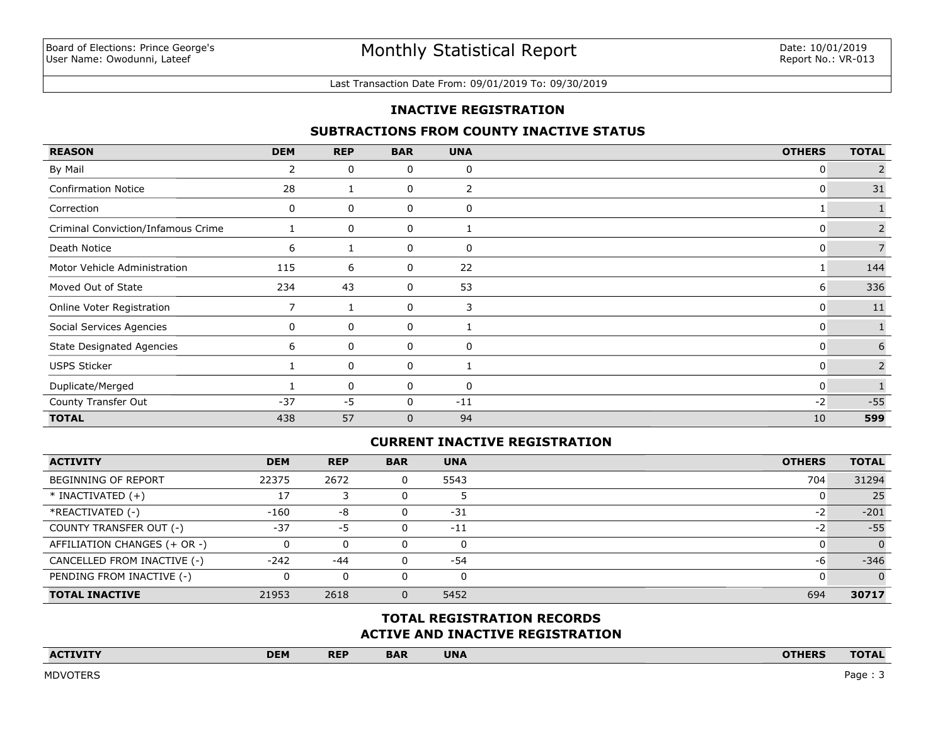#### Last Transaction Date From: 09/01/2019 To: 09/30/2019

### **INACTIVE REGISTRATION**

### **SUBTRACTIONS FROM COUNTY INACTIVE STATUS**

| <b>REASON</b>                      | <b>DEM</b> | <b>REP</b> | <b>BAR</b>   | <b>UNA</b> | <b>OTHERS</b> | <b>TOTAL</b>   |
|------------------------------------|------------|------------|--------------|------------|---------------|----------------|
| By Mail                            | 2          | 0          | 0            | 0          | 0             |                |
| <b>Confirmation Notice</b>         | 28         |            | 0            | 2          | 0             | 31             |
| Correction                         | 0          | 0          | 0            | 0          |               |                |
| Criminal Conviction/Infamous Crime |            | 0          | 0            |            | 0             | $\overline{2}$ |
| Death Notice                       | 6          |            | 0            | 0          | 0             | $\overline{7}$ |
| Motor Vehicle Administration       | 115        | 6          | 0            | 22         |               | 144            |
| Moved Out of State                 | 234        | 43         | 0            | 53         | 6             | 336            |
| Online Voter Registration          |            |            | 0            | 3          | 0             | $11\,$         |
| Social Services Agencies           | 0          | 0          | 0            |            | 0             |                |
| <b>State Designated Agencies</b>   | 6          | 0          | 0            | 0          | 0             | 6              |
| <b>USPS Sticker</b>                |            | 0          | 0            |            | 0             | $\overline{2}$ |
| Duplicate/Merged                   |            | 0          | 0            | 0          | 0             |                |
| County Transfer Out                | $-37$      | $-5$       | 0            | $-11$      | $-2$          | $-55$          |
| <b>TOTAL</b>                       | 438        | 57         | $\mathbf{0}$ | 94         | 10            | 599            |

### **CURRENT INACTIVE REGISTRATION**

| <b>ACTIVITY</b>              | <b>DEM</b> | <b>REP</b> | <b>BAR</b> | <b>UNA</b> | <b>OTHERS</b> | <b>TOTAL</b> |
|------------------------------|------------|------------|------------|------------|---------------|--------------|
| BEGINNING OF REPORT          | 22375      | 2672       | 0          | 5543       | 704           | 31294        |
| $*$ INACTIVATED $(+)$        | 17         |            |            |            |               | 25           |
| *REACTIVATED (-)             | $-160$     | -8         |            | $-31$      | -2            | $-201$       |
| COUNTY TRANSFER OUT (-)      | $-37$      | -5         | 0          | $-11$      | $-2$          | $-55$        |
| AFFILIATION CHANGES (+ OR -) | 0          |            |            |            |               | $\Omega$     |
| CANCELLED FROM INACTIVE (-)  | $-242$     | $-44$      | 0          | $-54$      | -6            | $-346$       |
| PENDING FROM INACTIVE (-)    | 0          | 0          |            |            |               | $\Omega$     |
| <b>TOTAL INACTIVE</b>        | 21953      | 2618       | 0          | 5452       | 694           | 30717        |

# **ACTIVE AND INACTIVE REGISTRATION TOTAL REGISTRATION RECORDS**

| $\Lambda C$<br>the contract of the contract of the contract of the contract of the contract of | <b>DEM</b> | <b>REP</b> | <b>BAR</b> | <b>UNA</b> | <b>ATUEDC</b><br>INEN<br>_______ | $\overline{\phantom{a}}$ |
|------------------------------------------------------------------------------------------------|------------|------------|------------|------------|----------------------------------|--------------------------|
|                                                                                                |            |            |            |            |                                  |                          |